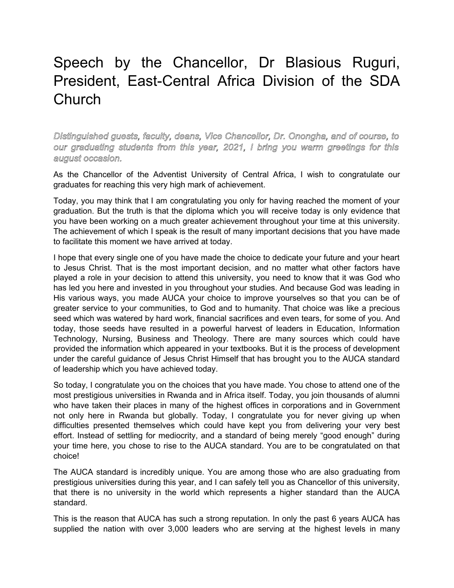## Speech by the Chancellor, Dr Blasious Ruguri, President, East-Central Africa Division of the SDA Church

## *Distinguished guests, faculty, deans, Vice Chancellor, Dr. Onongha, and of course, to our graduating students from this year, 2021, I bring you warm greetings for this august occasion.*

As the Chancellor of the Adventist University of Central Africa, I wish to congratulate our graduates for reaching this very high mark of achievement.

Today, you may think that I am congratulating you only for having reached the moment of your graduation. But the truth is that the diploma which you will receive today is only evidence that you have been working on a much greater achievement throughout your time at this university. The achievement of which I speak is the result of many important decisions that you have made to facilitate this moment we have arrived at today.

I hope that every single one of you have made the choice to dedicate your future and your heart to Jesus Christ. That is the most important decision, and no matter what other factors have played a role in your decision to attend this university, you need to know that it was God who has led you here and invested in you throughout your studies. And because God was leading in His various ways, you made AUCA your choice to improve yourselves so that you can be of greater service to your communities, to God and to humanity. That choice was like a precious seed which was watered by hard work, financial sacrifices and even tears, for some of you. And today, those seeds have resulted in a powerful harvest of leaders in Education, Information Technology, Nursing, Business and Theology. There are many sources which could have provided the information which appeared in your textbooks. But it is the process of development under the careful guidance of Jesus Christ Himself that has brought you to the AUCA standard of leadership which you have achieved today.

So today, I congratulate you on the choices that you have made. You chose to attend one of the most prestigious universities in Rwanda and in Africa itself. Today, you join thousands of alumni who have taken their places in many of the highest offices in corporations and in Government not only here in Rwanda but globally. Today, I congratulate you for never giving up when difficulties presented themselves which could have kept you from delivering your very best effort. Instead of settling for mediocrity, and a standard of being merely "good enough" during your time here, you chose to rise to the AUCA standard. You are to be congratulated on that choice!

The AUCA standard is incredibly unique. You are among those who are also graduating from prestigious universities during this year, and I can safely tell you as Chancellor of this university, that there is no university in the world which represents a higher standard than the AUCA standard.

This is the reason that AUCA has such a strong reputation. In only the past 6 years AUCA has supplied the nation with over 3,000 leaders who are serving at the highest levels in many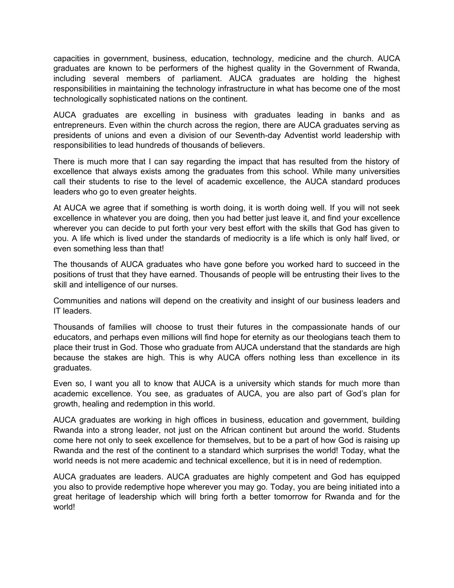capacities in government, business, education, technology, medicine and the church. AUCA graduates are known to be performers of the highest quality in the Government of Rwanda, including several members of parliament. AUCA graduates are holding the highest responsibilities in maintaining the technology infrastructure in what has become one of the most technologically sophisticated nations on the continent.

AUCA graduates are excelling in business with graduates leading in banks and as entrepreneurs. Even within the church across the region, there are AUCA graduates serving as presidents of unions and even a division of our Seventh-day Adventist world leadership with responsibilities to lead hundreds of thousands of believers.

There is much more that I can say regarding the impact that has resulted from the history of excellence that always exists among the graduates from this school. While many universities call their students to rise to the level of academic excellence, the AUCA standard produces leaders who go to even greater heights.

At AUCA we agree that if something is worth doing, it is worth doing well. If you will not seek excellence in whatever you are doing, then you had better just leave it, and find your excellence wherever you can decide to put forth your very best effort with the skills that God has given to you. A life which is lived under the standards of mediocrity is a life which is only half lived, or even something less than that!

The thousands of AUCA graduates who have gone before you worked hard to succeed in the positions of trust that they have earned. Thousands of people will be entrusting their lives to the skill and intelligence of our nurses.

Communities and nations will depend on the creativity and insight of our business leaders and IT leaders.

Thousands of families will choose to trust their futures in the compassionate hands of our educators, and perhaps even millions will find hope for eternity as our theologians teach them to place their trust in God. Those who graduate from AUCA understand that the standards are high because the stakes are high. This is why AUCA offers nothing less than excellence in its graduates.

Even so, I want you all to know that AUCA is a university which stands for much more than academic excellence. You see, as graduates of AUCA, you are also part of God's plan for growth, healing and redemption in this world.

AUCA graduates are working in high offices in business, education and government, building Rwanda into a strong leader, not just on the African continent but around the world. Students come here not only to seek excellence for themselves, but to be a part of how God is raising up Rwanda and the rest of the continent to a standard which surprises the world! Today, what the world needs is not mere academic and technical excellence, but it is in need of redemption.

AUCA graduates are leaders. AUCA graduates are highly competent and God has equipped you also to provide redemptive hope wherever you may go. Today, you are being initiated into a great heritage of leadership which will bring forth a better tomorrow for Rwanda and for the world!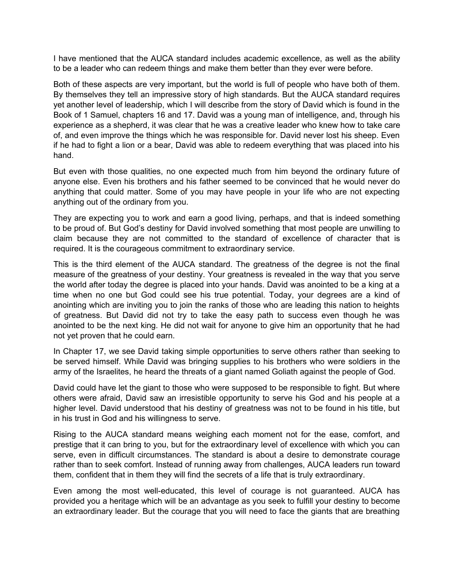I have mentioned that the AUCA standard includes academic excellence, as well as the ability to be a leader who can redeem things and make them better than they ever were before.

Both of these aspects are very important, but the world is full of people who have both of them. By themselves they tell an impressive story of high standards. But the AUCA standard requires yet another level of leadership, which I will describe from the story of David which is found in the Book of 1 Samuel, chapters 16 and 17. David was a young man of intelligence, and, through his experience as a shepherd, it was clear that he was a creative leader who knew how to take care of, and even improve the things which he was responsible for. David never lost his sheep. Even if he had to fight a lion or a bear, David was able to redeem everything that was placed into his hand.

But even with those qualities, no one expected much from him beyond the ordinary future of anyone else. Even his brothers and his father seemed to be convinced that he would never do anything that could matter. Some of you may have people in your life who are not expecting anything out of the ordinary from you.

They are expecting you to work and earn a good living, perhaps, and that is indeed something to be proud of. But God's destiny for David involved something that most people are unwilling to claim because they are not committed to the standard of excellence of character that is required. It is the courageous commitment to extraordinary service.

This is the third element of the AUCA standard. The greatness of the degree is not the final measure of the greatness of your destiny. Your greatness is revealed in the way that you serve the world after today the degree is placed into your hands. David was anointed to be a king at a time when no one but God could see his true potential. Today, your degrees are a kind of anointing which are inviting you to join the ranks of those who are leading this nation to heights of greatness. But David did not try to take the easy path to success even though he was anointed to be the next king. He did not wait for anyone to give him an opportunity that he had not yet proven that he could earn.

In Chapter 17, we see David taking simple opportunities to serve others rather than seeking to be served himself. While David was bringing supplies to his brothers who were soldiers in the army of the Israelites, he heard the threats of a giant named Goliath against the people of God.

David could have let the giant to those who were supposed to be responsible to fight. But where others were afraid, David saw an irresistible opportunity to serve his God and his people at a higher level. David understood that his destiny of greatness was not to be found in his title, but in his trust in God and his willingness to serve.

Rising to the AUCA standard means weighing each moment not for the ease, comfort, and prestige that it can bring to you, but for the extraordinary level of excellence with which you can serve, even in difficult circumstances. The standard is about a desire to demonstrate courage rather than to seek comfort. Instead of running away from challenges, AUCA leaders run toward them, confident that in them they will find the secrets of a life that is truly extraordinary.

Even among the most well-educated, this level of courage is not guaranteed. AUCA has provided you a heritage which will be an advantage as you seek to fulfill your destiny to become an extraordinary leader. But the courage that you will need to face the giants that are breathing